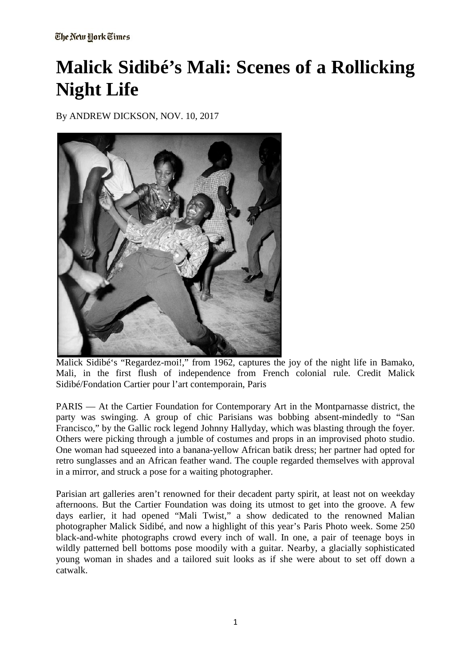# **Malick Sidibé's Mali: Scenes of a Rollicking Night Life**

By ANDREW DICKSON, NOV. 10, 2017



Malick Sidibé's "Regardez-moi!," from 1962, captures the joy of the night life in Bamako, Mali, in the first flush of independence from French colonial rule. Credit Malick Sidibé/Fondation Cartier pour l'art contemporain, Paris

PARIS — At the Cartier Foundation for Contemporary Art in the Montparnasse district, the party was swinging. A group of chic Parisians was bobbing absent-mindedly to "San Francisco," by the Gallic rock legend Johnny Hallyday, which was blasting through the foyer. Others were picking through a jumble of costumes and props in an improvised photo studio. One woman had squeezed into a banana-yellow African batik dress; her partner had opted for retro sunglasses and an African feather wand. The couple regarded themselves with approval in a mirror, and struck a pose for a waiting photographer.

Parisian art galleries aren't renowned for their decadent party spirit, at least not on weekday afternoons. But the Cartier Foundation was doing its utmost to get into the groove. A few days earlier, it had opened "Mali Twist," a show dedicated to the renowned Malian photographer Malick Sidibé, and now a highlight of this year's Paris Photo week. Some 250 black-and-white photographs crowd every inch of wall. In one, a pair of teenage boys in wildly patterned bell bottoms pose moodily with a guitar. Nearby, a glacially sophisticated young woman in shades and a tailored suit looks as if she were about to set off down a catwalk.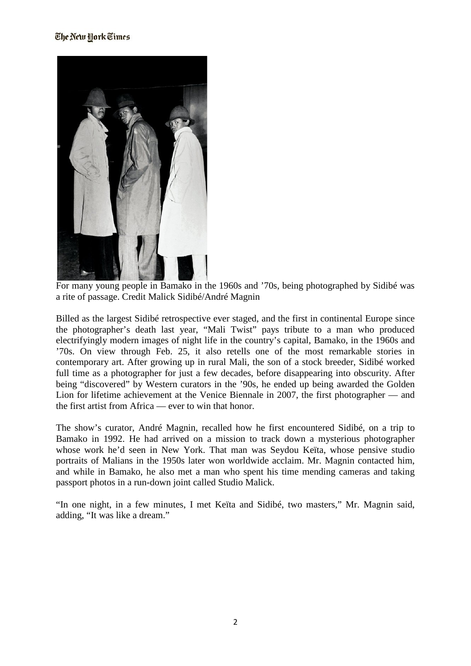#### The New York Times



For many young people in Bamako in the 1960s and '70s, being photographed by Sidibé was a rite of passage. Credit Malick Sidibé/André Magnin

Billed as the largest Sidibé retrospective ever staged, and the first in continental Europe since the photographer's death last year, "Mali Twist" pays tribute to a man who produced electrifyingly modern images of night life in the country's capital, Bamako, in the 1960s and '70s. On view through Feb. 25, it also retells one of the most remarkable stories in contemporary art. After growing up in rural Mali, the son of a stock breeder, Sidibé worked full time as a photographer for just a few decades, before disappearing into obscurity. After being "discovered" by Western curators in the '90s, he ended up being awarded the Golden Lion for lifetime achievement at the Venice Biennale in 2007, the first photographer — and the first artist from Africa — ever to win that honor.

The show's curator, André Magnin, recalled how he first encountered Sidibé, on a trip to Bamako in 1992. He had arrived on a mission to track down a mysterious photographer whose work he'd seen in New York. That man was Seydou Keïta, whose pensive studio portraits of Malians in the 1950s later won worldwide acclaim. Mr. Magnin contacted him, and while in Bamako, he also met a man who spent his time mending cameras and taking passport photos in a run-down joint called Studio Malick.

"In one night, in a few minutes, I met Keïta and Sidibé, two masters," Mr. Magnin said, adding, "It was like a dream."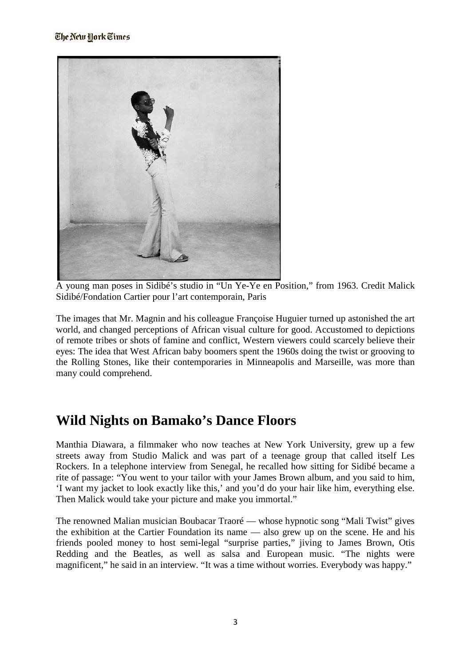

A young man poses in Sidibé's studio in "Un Ye-Ye en Position," from 1963. Credit Malick Sidibé/Fondation Cartier pour l'art contemporain, Paris

The images that Mr. Magnin and his colleague Françoise Huguier turned up astonished the art world, and changed perceptions of African visual culture for good. Accustomed to depictions of remote tribes or shots of famine and conflict, Western viewers could scarcely believe their eyes: The idea that West African baby boomers spent the 1960s doing the twist or grooving to the Rolling Stones, like their contemporaries in Minneapolis and Marseille, was more than many could comprehend.

## **Wild Nights on Bamako's Dance Floors**

Manthia Diawara, a filmmaker who now teaches at New York University, grew up a few streets away from Studio Malick and was part of a teenage group that called itself Les Rockers. In a telephone interview from Senegal, he recalled how sitting for Sidibé became a rite of passage: "You went to your tailor with your James Brown album, and you said to him, 'I want my jacket to look exactly like this,' and you'd do your hair like him, everything else. Then Malick would take your picture and make you immortal."

The renowned Malian musician Boubacar Traoré — whose hypnotic song "Mali Twist" gives the exhibition at the Cartier Foundation its name — also grew up on the scene. He and his friends pooled money to host semi-legal "surprise parties," jiving to James Brown, Otis Redding and the Beatles, as well as salsa and European music. "The nights were magnificent," he said in an interview. "It was a time without worries. Everybody was happy."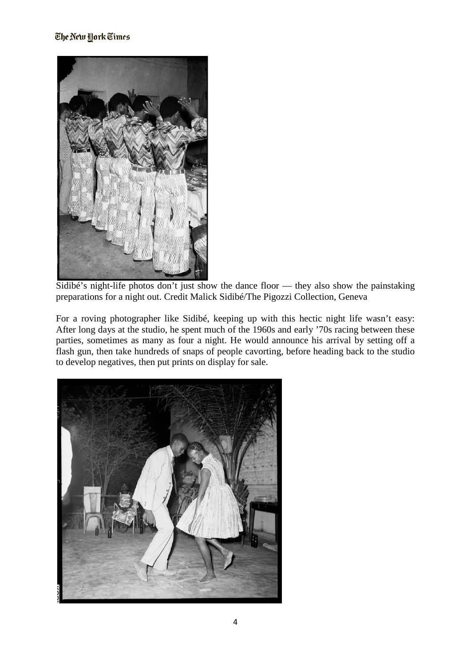

Sidibé's night-life photos don't just show the dance floor — they also show the painstaking preparations for a night out. Credit Malick Sidibé/The Pigozzi Collection, Geneva

For a roving photographer like Sidibé, keeping up with this hectic night life wasn't easy: After long days at the studio, he spent much of the 1960s and early '70s racing between these parties, sometimes as many as four a night. He would announce his arrival by setting off a flash gun, then take hundreds of snaps of people cavorting, before heading back to the studio to develop negatives, then put prints on display for sale.

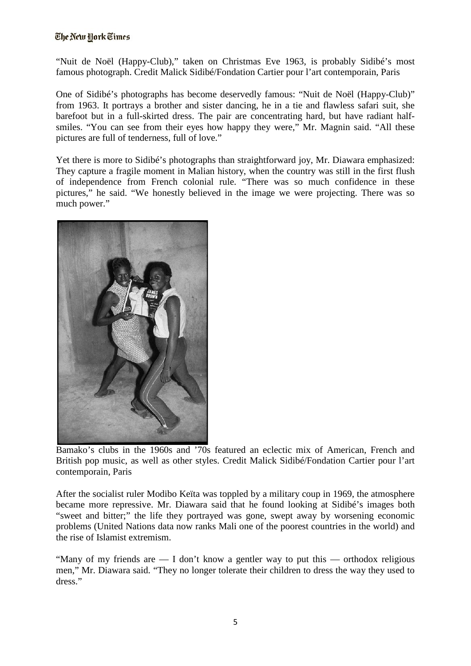### The New York Times

"Nuit de Noël (Happy-Club)," taken on Christmas Eve 1963, is probably Sidibé's most famous photograph. Credit Malick Sidibé/Fondation Cartier pour l'art contemporain, Paris

One of Sidibé's photographs has become deservedly famous: "Nuit de Noël (Happy-Club)" from 1963. It portrays a brother and sister dancing, he in a tie and flawless safari suit, she barefoot but in a full-skirted dress. The pair are concentrating hard, but have radiant halfsmiles. "You can see from their eyes how happy they were," Mr. Magnin said. "All these pictures are full of tenderness, full of love."

Yet there is more to Sidibé's photographs than straightforward joy, Mr. Diawara emphasized: They capture a fragile moment in Malian history, when the country was still in the first flush of independence from French colonial rule. "There was so much confidence in these pictures," he said. "We honestly believed in the image we were projecting. There was so much power."



Bamako's clubs in the 1960s and '70s featured an eclectic mix of American, French and British pop music, as well as other styles. Credit Malick Sidibé/Fondation Cartier pour l'art contemporain, Paris

After the socialist ruler Modibo Keïta was toppled by a military coup in 1969, the atmosphere became more repressive. Mr. Diawara said that he found looking at Sidibé's images both "sweet and bitter;" the life they portrayed was gone, swept away by worsening economic problems (United Nations data now ranks Mali one of the poorest countries in the world) and the rise of Islamist extremism.

"Many of my friends are — I don't know a gentler way to put this — orthodox religious men," Mr. Diawara said. "They no longer tolerate their children to dress the way they used to dress."